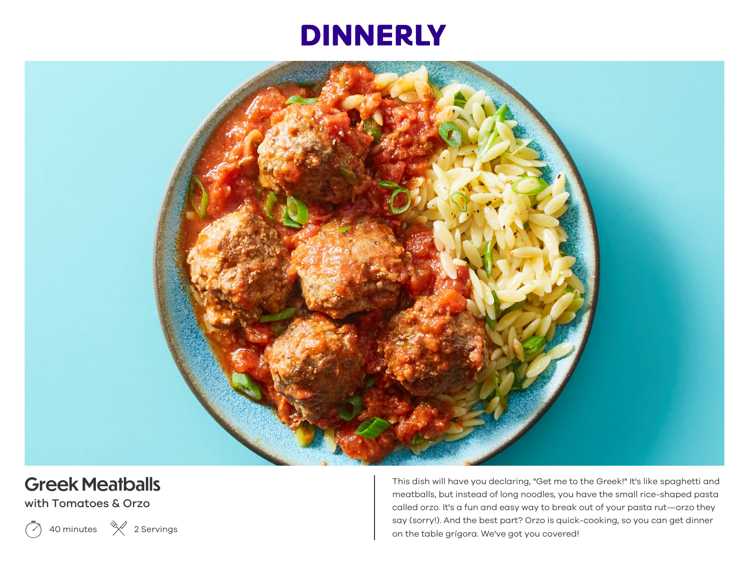# **DINNERLY**



## **Greek Meatballs**

with Tomatoes & Orzo

 $\left( \sqrt{\phantom{a}}\right)$ 40 minutes  $\mathcal{K}$  2 Servings This dish will have you declaring, "Get me to the Greek!" It's like spaghetti and meatballs, but instead of long noodles, you have the small rice-shaped pasta called orzo. It's a fun and easy way to break out of your pasta rut—orzo they say (sorry!). And the best part? Orzo is quick-cooking, so you can get dinner on the table grígora. We've got you covered!